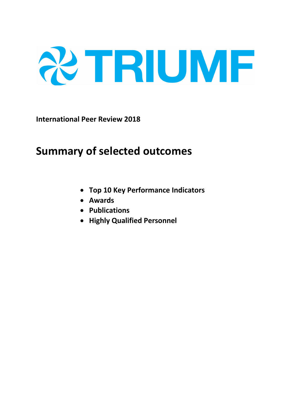

**International Peer Review 2018**

# **Summary of selected outcomes**

- **Top 10 Key Performance Indicators**
- **Awards**
- **Publications**
- **Highly Qualified Personnel**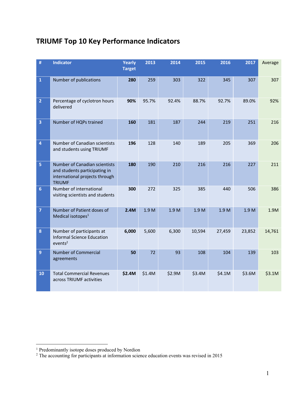## **TRIUMF Top 10 Key Performance Indicators**

| #                       | <b>Indicator</b>                                                                                                  | <b>Yearly</b><br><b>Target</b> | 2013   | 2014   | 2015   | 2016   | 2017             | Average |
|-------------------------|-------------------------------------------------------------------------------------------------------------------|--------------------------------|--------|--------|--------|--------|------------------|---------|
| $\mathbf 1$             | Number of publications                                                                                            | 280                            | 259    | 303    | 322    | 345    | 307              | 307     |
| $\overline{2}$          | Percentage of cyclotron hours<br>delivered                                                                        | 90%                            | 95.7%  | 92.4%  | 88.7%  | 92.7%  | 89.0%            | 92%     |
| $\overline{\mathbf{3}}$ | Number of HQPs trained                                                                                            | 160                            | 181    | 187    | 244    | 219    | 251              | 216     |
| $\overline{\mathbf{4}}$ | Number of Canadian scientists<br>and students using TRIUMF                                                        | 196                            | 128    | 140    | 189    | 205    | 369              | 206     |
| 5                       | Number of Canadian scientists<br>and students participating in<br>international projects through<br><b>TRIUMF</b> | 180                            | 190    | 210    | 216    | 216    | 227              | 211     |
| $6\phantom{a}$          | Number of international<br>visiting scientists and students                                                       | 300                            | 272    | 325    | 385    | 440    | 506              | 386     |
| $\overline{7}$          | Number of Patient doses of<br>Medical isotopes <sup>1</sup>                                                       | 2.4M                           | 1.9 M  | 1.9 M  | 1.9 M  | 1.9 M  | 1.9 <sub>M</sub> | 1.9M    |
| $\pmb{8}$               | Number of participants at<br><b>Informal Science Education</b><br>events <sup>2</sup>                             | 6,000                          | 5,600  | 6,300  | 10,594 | 27,459 | 23,852           | 14,761  |
| $\overline{9}$          | <b>Number of Commercial</b><br>agreements                                                                         | 50                             | 72     | 93     | 108    | 104    | 139              | 103     |
| 10                      | <b>Total Commercial Revenues</b><br>across TRIUMF activities                                                      | \$2.4M                         | \$1.4M | \$2.9M | \$3.4M | \$4.1M | \$3.6M           | \$3.1M  |

<sup>1&</sup>lt;br><sup>1</sup> Predominantly isotope doses produced by Nordion

 $2$  The accounting for participants at information science education events was revised in 2015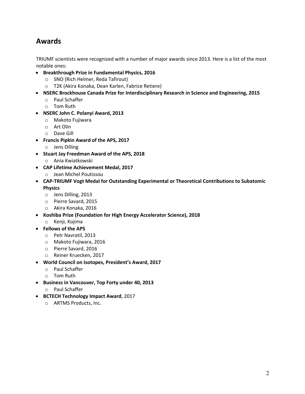## **Awards**

TRIUMF scientists were recognized with a number of major awards since 2013. Here is a list of the most notable ones:

- **Breakthrough Prize in Fundamental Physics, 2016**
	- o SNO (Rich Helmer, Reda Tafirout)
	- o T2K (Akira Konaka, Dean Karlen, Fabrice Retiere)
- **NSERC Brockhouse Canada Prize for Interdisciplinary Research in Science and Engineering, 2015**
	- o Paul Schaffer
	- o Tom Ruth
- **NSERC John C. Polanyi Award, 2013**
	- o Makoto Fujiwara
	- o Art Olin
	- o Dave Gill
- **Francis Pipkin Award of the APS, 2017**
	- o Jens Dilling
- **Stuart Jay Freedman Award of the APS, 2018**
	- o Ania Kwiatkowski
- **CAP Lifetime Achievement Medal, 2017**
	- o Jean Michel Poutissou
- **CAP-TRIUMF Vogt Medal for Outstanding Experimental or Theoretical Contributions to Subatomic Physics**
	- o Jens Dilling, 2013
	- o Pierre Savard, 2015
	- o Akira Konaka, 2016
- **Koshiba Prize (Foundation for High Energy Accelerator Science), 2018**
	- o Kenji, Kojima
- **Fellows of the APS**
	- o Petr Navratil, 2013
	- o Makoto Fujiwara, 2016
	- o Pierre Savard, 2016
	- o Reiner Kruecken, 2017
- **World Council on Isotopes, President's Award, 2017**
	- o Paul Schaffer
	- o Tom Ruth
- **Business in Vancouver, Top Forty under 40, 2013**
	- o Paul Schaffer
- **BCTECH Technology Impact Award**, 2017
	- o ARTMS Products, Inc.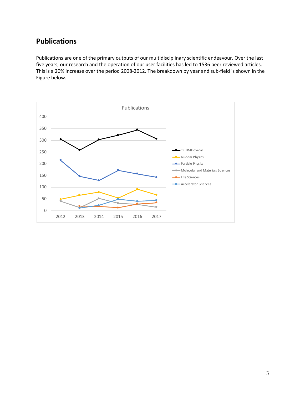### **Publications**

Publications are one of the primary outputs of our multidisciplinary scientific endeavour. Over the last five years, our research and the operation of our user facilities has led to 1536 peer reviewed articles. This is a 20% increase over the period 2008-2012. The breakdown by year and sub-field is shown in the Figure below.

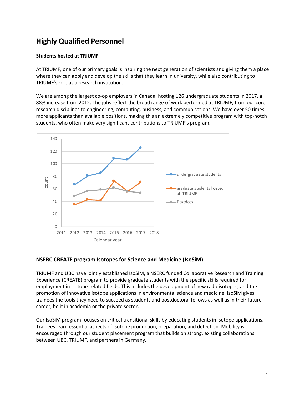## **Highly Qualified Personnel**

#### **Students hosted at TRIUMF**

At TRIUMF, one of our primary goals is inspiring the next generation of scientists and giving them a place where they can apply and develop the skills that they learn in university, while also contributing to TRIUMF's role as a research institution.

We are among the largest co-op employers in Canada, hosting 126 undergraduate students in 2017, a 88% increase from 2012. The jobs reflect the broad range of work performed at TRIUMF, from our core research disciplines to engineering, computing, business, and communications. We have over 50 times more applicants than available positions, making this an extremely competitive program with top-notch students, who often make very significant contributions to TRIUMF's program.



#### **NSERC CREATE program Isotopes for Science and Medicine (IsoSiM)**

TRIUMF and UBC have jointly established IsoSiM, a NSERC funded Collaborative Research and Training Experience (CREATE) program to provide graduate students with the specific skills required for employment in isotope-related fields. This includes the development of new radioisotopes, and the promotion of innovative isotope applications in environmental science and medicine. IsoSiM gives trainees the tools they need to succeed as students and postdoctoral fellows as well as in their future career, be it in academia or the private sector.

Our IsoSiM program focuses on critical transitional skills by educating students in isotope applications. Trainees learn essential aspects of isotope production, preparation, and detection. Mobility is encouraged through our student placement program that builds on strong, existing collaborations between UBC, TRIUMF, and partners in Germany.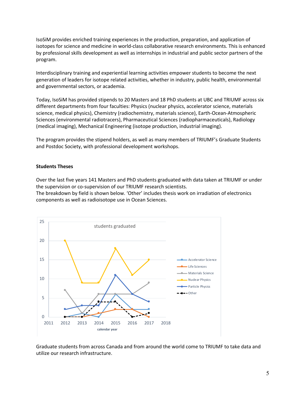IsoSiM provides enriched training experiences in the production, preparation, and application of isotopes for science and medicine in world-class collaborative research environments. This is enhanced by professional skills development as well as internships in industrial and public sector partners of the program.

Interdisciplinary training and experiential learning activities empower students to become the next generation of leaders for isotope related activities, whether in industry, public health, environmental and governmental sectors, or academia.

Today, IsoSiM has provided stipends to 20 Masters and 18 PhD students at UBC and TRIUMF across six different departments from four faculties: Physics (nuclear physics, accelerator science, materials science, medical physics), Chemistry (radiochemistry, materials science), Earth-Ocean-Atmospheric Sciences (environmental radiotracers), Pharmaceutical Sciences (radiopharmaceuticals), Radiology (medical imaging), Mechanical Engineering (isotope production, industrial imaging).

The program provides the stipend holders, as well as many members of TRIUMF's Graduate Students and Postdoc Society, with professional development workshops.

#### **Students Theses**

Over the last five years 141 Masters and PhD students graduated with data taken at TRIUMF or under the supervision or co-supervision of our TRIUMF research scientists.

The breakdown by field is shown below. 'Other' includes thesis work on irradiation of electronics components as well as radioisotope use in Ocean Sciences.



Graduate students from across Canada and from around the world come to TRIUMF to take data and utilize our research infrastructure.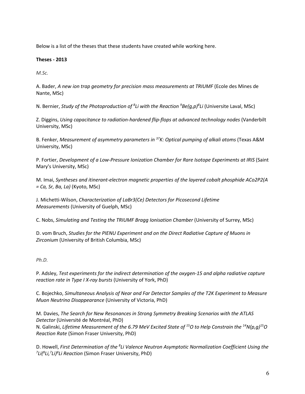Below is a list of the theses that these students have created while working here.

#### **Theses - 2013**

*M.Sc.*

A. Bader, *A new ion trap geometry for precision mass measurements at TRIUMF* (Ecole des Mines de Nante, MSc)

N. Bernier, *Study of the Photoproduction of 8 Li with the Reaction 9 Be(g,p)8 Li* (Universite Laval, MSc)

Z. Diggins, *Using capacitance to radiation-hardened flip-flops at advanced technology nodes* (Vanderbilt University, MSc)

B. Fenker, *Measurement of asymmetry parameters in 37K: Optical pumping of alkali atoms* (Texas A&M University, MSc)

P. Fortier, *Development of a Low-Pressure Ionization Chamber for Rare Isotope Experiments at IRIS* (Saint Mary's University, MSc)

M. Imai, *Syntheses and itinerant-electron magnetic properties of the layered cobalt phosphide ACo2P2(A = Ca, Sr, Ba, La)* (Kyoto, MSc)

J. Michetti-Wilson, *Characterization of LaBr3(Ce) Detectors for Picosecond Lifetime Measurements* (University of Guelph, MSc)

C. Nobs, *Simulating and Testing the TRIUMF Bragg Ionisation Chamber* (University of Surrey, MSc)

D. vom Bruch, *Studies for the PIENU Experiment and on the Direct Radiative Capture of Muons in Zirconium* (University of British Columbia, MSc)

#### *Ph.D.*

P. Adsley, *Test experiments for the indirect determination of the oxygen-15 and alpha radiative capture reaction rate in Type I X-ray bursts* (University of York, PhD)

C. Bojechko, *Simultaneous Analysis of Near and Far Detector Samples of the T2K Experiment to Measure Muon Neutrino Disappearance* (University of Victoria, PhD)

M. Davies, *The Search for New Resonances in Strong Symmetry Breaking Scenarios with the ATLAS Detector* (Université de Montréal, PhD) N. Galinski, *Lifetime Measurement of the 6.79 MeV Excited State of 15O to Help Constrain the 14N(p,g)15O Reaction Rate* (Simon Fraser University, PhD)

D. Howell, *First Determination of the <sup>8</sup>Li Valence Neutron Asymptotic Normalization Coefficient Using the*<br>דונו<sup>8</sup>ו ליוו<sup>8</sup>ו Reaction (Simon Fraser University, PhD) *Li(8 Li,7 Li)8 Li Reaction* (Simon Fraser University, PhD)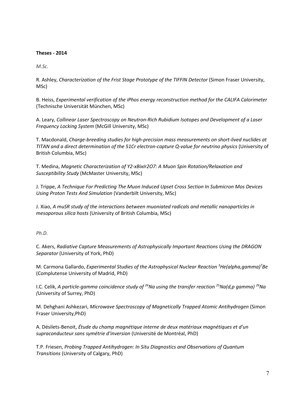#### **Theses - 2014**

*M.Sc.*

R. Ashley, *Characterization of the Frist Stage Prototype of the TIFFIN Detector* (Simon Fraser University, MSc)

B. Heiss, *Experimental verification of the iPhos energy reconstruction method for the CALIFA Calorimeter*  (Technische Universität München, MSc)

A. Leary, *Collinear Laser Spectroscopy on Neutron-Rich Rubidium Isotopes and Development of a Laser Frequency Locking System* (McGill University, MSc)

T. Macdonald, *Charge-breeding studies for high-precision mass measurements on short-lived nuclides at TITAN and a direct determination of the 51Cr electron-capture Q-value for neutrino physics* (University of British Columbia, MSc)

T. Medina, *Magnetic Characterization of Y2-xBixIr2O7: A Muon Spin Rotation/Relaxation and Susceptibility Study* (McMaster University, MSc)

J. Trippe, *A Technique For Predicting The Muon Induced Upset Cross Section In Submicron Mos Devices Using Proton Tests And Simulation* (Vanderbilt University, MSc)

J. Xiao, *A muSR study of the interactions between muoniated radicals and metallic nanoparticles in mesoporous silica hosts* (University of British Columbia, MSc)

*Ph.D.*

C. Akers, *Radiative Capture Measurements of Astrophysically Important Reactions Using the DRAGON Separator* (University of York, PhD)

M. Carmona Gallardo, *Experimental Studies of the Astrophysical Nuclear Reaction 3 He(alpha,gamma)7 Be* (Complutense University of Madrid, PhD)

I.C. Celik, *A particle-gamma coincidence study of 26Na using the transfer reaction 25Na(d,p gamma) 26Na (*University of Surrey, PhD)

M. Dehghani Ashkezari, *Microwave Spectroscopy of Magnetically Trapped Atomic Antihydrogen* (Simon Fraser University,PhD)

A. Désilets-Benoit, *Étude du champ magnétique interne de deux matériaux magnétiques et d'un supraconducteur sans symétrie d'inversion* (Université de Montréal, PhD)

T.P. Friesen, *Probing Trapped Antihydrogen: In Situ Diagnostics and Observations of Quantum Transitions* (University of Calgary, PhD)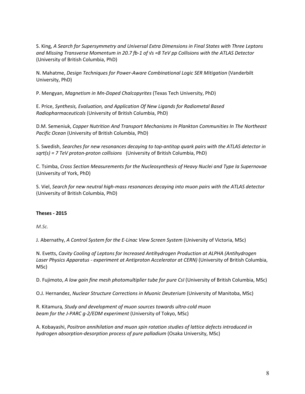S. King, *A Search for Supersymmetry and Universal Extra Dimensions in Final States with Three Leptons and Missing Transverse Momentum in 20.7 fb-1 of √s =8 TeV pp Collisions with the ATLAS Detector* (University of British Columbia, PhD)

N. Mahatme, *Design Techniques for Power-Aware Combinational Logic SER Mitigation* (Vanderbilt University, PhD)

P. Mengyan, *Magnetism in Mn-Doped Chalcopyrites* (Texas Tech University, PhD)

E. Price, *Synthesis, Evaluation, and Application Of New Ligands for Radiometal Based Radiopharmaceuticals* (University of British Columbia, PhD)

D.M. Semeniuk, *Copper Nutrition And Transport Mechanisms In Plankton Communities In The Northeast Pacific Ocean* (University of British Columbia, PhD)

S. Swedish, *Searches for new resonances decaying to top-antitop quark pairs with the ATLAS detector in sqrt(s) = 7 TeV proton-proton collisions* (University of British Columbia, PhD)

C. Tsimba, *Cross Section Measurements for the Nucleosynthesis of Heavy Nuclei and Type Ia Supernovae* (University of York, PhD)

S. Viel, *Search for new neutral high-mass resonances decaying into muon pairs with the ATLAS detector* (University of British Columbia, PhD)

#### **Theses - 2015**

*M.Sc.*

J. Abernathy, *A Control System for the E-Linac View Screen System* (University of Victoria, MSc)

N. Evetts, *Cavity Cooling of Leptons for Increased Antihydrogen Production at ALPHA (Antihydrogen Laser Physics Apparatus - experiment at Antiproton Accelerator at CERN)* (University of British Columbia, MSc)

D. Fujimoto, *A low gain fine mesh photomultiplier tube for pure CsI* (University of British Columbia, MSc)

O.J. Hernandez, *Nuclear Structure Corrections in Muonic Deuterium* (University of Manitoba, MSc)

R. Kitamura*, Study and development of muon sources towards ultra-cold muon beam for the J-PARC g-2/EDM experiment* (University of Tokyo, MSc)

A. Kobayashi, *Positron annihilation and muon spin rotation studies of lattice defects introduced in hydrogen absorption-desorption process of pure palladium* (Osaka University, MSc)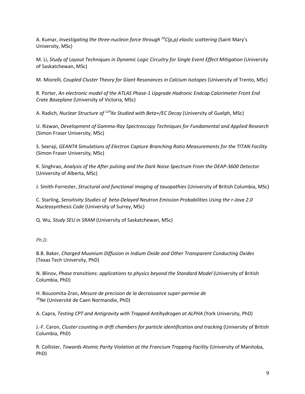A. Kumar, *Investigating the three-nucleon force through 10C(p,p) elastic scattering* (Saint Mary's University, MSc)

M. Li, *Study of Layout Techniques in Dynamic Logic Circuitry for Single Event Effect Mitigation* (University of Saskatchewan, MSc)

M. Miorelli, *Coupled Cluster Theory for Giant Resonances in Calcium Isotopes* (University of Trento, MSc)

R. Porter, *An electronic model of the ATLAS Phase-1 Upgrade Hadronic Endcap Calorimeter Front End Crate Baseplane* (University of Victoria, MSc)

A. Radich, *Nuclear Structure of 124Xe Studied with Beta+/EC Decay* (University of Guelph, MSc)

U. Rizwan, *Development of Gamma-Ray Spectroscopy Techniques for Fundamental and Applied Research* (Simon Fraser University, MSc)

S. Seeraji, *GEANT4 Simulations of Electron Capture Branching Ratio Measurements for the TITAN Facility* (Simon Fraser University, MSc)

K. Singhrao, *Analysis of the After pulsing and the Dark Noise Spectrum From the DEAP-3600 Detector*  (University of Alberta, MSc)

J. Smith-Forrester, *Structural and functional imaging of tauopathies* (University of British Columbia, MSc)

C. Starling, *Sensitivity Studies of beta-Delayed Neutron Emission Probabilities Using the r-Java 2.0 Nucleosynthesis Code* (University of Surrey, MSc)

Q. Wu, *Study SEU in SRAM* (University of Saskatchewan, MSc)

*Ph.D.*

B.B. Baker, *Charged Muonium Diffusion in Indium Oxide and Other Transparent Conducting Oxides*  (Texas Tech University, PhD)

N. Blinov, *Phase transitions: applications to physics beyond the Standard Model* (University of British Columbia, PhD)

H. Bouzomita-Zran, *Mesure de precision de la decroissance super-permise de 18Ne* (Université de Caen Normandie, PhD)

A. Capra, *Testing CPT and Antigravity with Trapped Antihydrogen at ALPHA* (York University, PhD)

J.-F. Caron, *Cluster counting in drift chambers for particle identification and tracking* (University of British Columbia, PhD)

R. Collister, *Towards Atomic Parity Violation at the Francium Trapping Facility* (University of Manitoba, PhD)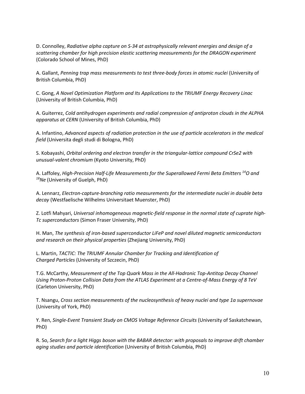D. Connolley, *Radiative alpha capture on S-34 at astrophysically relevant energies and design of a scattering chamber for high precision elastic scattering measurements for the DRAGON experiment* (Colorado School of Mines, PhD)

A. Gallant, *Penning trap mass measurements to test three-body forces in atomic nuclei* (University of British Columbia, PhD)

C. Gong, *A Novel Optimization Platform and Its Applications to the TRIUMF Energy Recovery Linac* (University of British Columbia, PhD)

A. Guiterrez, *Cold antihydrogen experiments and radial compression of antiproton clouds in the ALPHA apparatus at CERN* (University of British Columbia, PhD)

A. Infantino, *Advanced aspects of radiation protection in the use of particle accelerators in the medical field* (Universita degli studi di Bologna, PhD)

S. Kobayashi, *Orbital ordering and electron transfer in the triangular-lattice compound CrSe2 with unusual-valent chromium* (Kyoto University, PhD)

A. Laffoley, *High-Precision Half-Life Measurements for the Superallowed Fermi Beta Emitters 14O and 18Ne* (University of Guelph, PhD)

A. Lennarz, *Electron-capture-branching ratio measurements for the intermediate nuclei in double beta decay* (Westfaelische Wilhelms Universitaet Muenster, PhD)

Z. Lotfi Mahyari, *Universal inhomogeneous magnetic-field response in the normal state of cuprate high-Tc superconductors* (Simon Fraser University, PhD)

H. Man, *The synthesis of iron-based superconductor LiFeP and novel diluted magnetic semiconductors and research on their physical properties* (Zhejiang University, PhD)

L. Martin, *TACTIC: The TRIUMF Annular Chamber for Tracking and Identification of Charged Particles* (University of Szczecin, PhD)

T.G. McCarthy, *Measurement of the Top Quark Mass in the All-Hadronic Top-Antitop Decay Channel Using Proton-Proton Collision Data from the ATLAS Experiment at a Centre-of-Mass Energy of 8 TeV* (Carleton University, PhD)

T. Nsangu, *Cross section measurements of the nucleosynthesis of heavy nuclei and type 1a supernovae*  (University of York, PhD)

Y. Ren, *Single-Event Transient Study on CMOS Voltage Reference Circuits* (University of Saskatchewan, PhD)

R. So, *Search for a light Higgs boson with the BABAR detector: with proposals to improve drift chamber aging studies and particle identification* (University of British Columbia, PhD)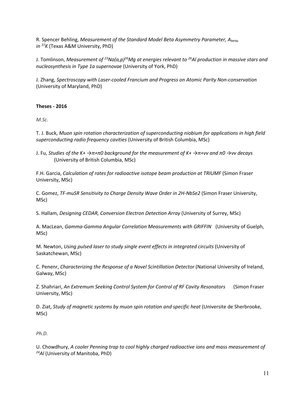R. Spencer Behling, *Measurement of the Standard Model Beta Asymmetry Parameter, Abeta, in 37K* (Texas A&M University, PhD)

J. Tomlinson, *Measurement of 23Na(a,p)26Mg at energies relevant to 26Al production in massive stars and nucleosynthesis in Type 1a supernovae* (University of York, PhD)

J. Zhang, *Spectroscopy with Laser-cooled Francium and Progress on Atomic Parity Non-conservation* (University of Maryland, PhD)

#### **Theses - 2016**

*M.Sc.*

T. J. Buck, *Muon spin rotation characterization of superconducting niobium for applications in high field superconducting radio frequency cavities* (University of British Columbia, MSc)

J. Fu, *Studies of the K+ →π+π0 background for the measurement of K+ →π+νν and π0 →νν decays* (University of British Columbia, MSc)

F.H. Garcia, *Calculation of rates for radioactive isotope beam production at TRIUMF* (Simon Fraser University, MSc)

C. Gomez, *TF-muSR Sensitivity to Charge Density Wave Order in 2H-NbSe2* (Simon Fraser University, MSc)

S. Hallam, *Designing CEDAR, Conversion Electron Detection Array* (University of Surrey, MSc)

A. MacLean, *Gamma-Gamma Angular Correlation Measurements with GRIFFIN* (University of Guelph, MSc)

M. Newton, *Using pulsed laser to study single event effects in integrated circuits* (University of Saskatchewan, MSc)

C. Penenr, *Characterizing the Response of a Novel Scintillation Detector* (National University of Ireland, Galway, MSc)

Z. Shahriari, *An Extremum Seeking Control System for Control of RF Cavity Resonators* (Simon Fraser University, MSc)

D. Ziat, *Study of magnetic systems by muon spin rotation and specific heat* (Universite de Sherbrooke, MSc)

#### *Ph.D.*

U. Chowdhury, *A cooler Penning trap to cool highly charged radioactive ions and mass measurement of 24Al* (University of Manitoba, PhD)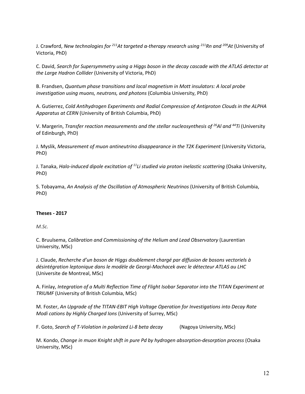J. Crawford, *New technologies for 211At targeted α-therapy research using 211Rn and 209At* (University of Victoria, PhD)

C. David, *Search for Supersymmetry using a Higgs boson in the decay cascade with the ATLAS detector at the Large Hadron Collider* (University of Victoria, PhD)

B. Frandsen, *Quantum phase transitions and local magnetism in Mott insulators: A local probe investigation using muons, neutrons, and photons* (Columbia University, PhD)

A. Gutierrez, *Cold Antihydrogen Experiments and Radial Compression of Antiproton Clouds in the ALPHA Apparatus at CERN* (University of British Columbia, PhD)

V. Margerin, *Transfer reaction measurements and the stellar nucleosynthesis of 26Al and 44Ti* (University of Edinburgh, PhD)

J. Myslik, *Measurement of muon antineutrino disappearance in the T2K Experiment* (University Victoria, PhD)

J. Tanaka, *Halo-induced dipole excitation of 11Li studied via proton inelastic scattering* (Osaka University, PhD)

S. Tobayama, *An Analysis of the Oscillation of Atmospheric Neutrinos* (University of British Columbia, PhD)

#### **Theses - 2017**

*M.Sc.*

C. Bruulsema, *Calibration and Commissioning of the Helium and Lead Observatory* (Laurentian University, MSc)

J. Claude, *Recherche d'un boson de Higgs doublement chargé par diffusion de bosons vectoriels à désintégration leptonique dans le modèle de Georgi-Machacek avec le détecteur ATLAS au LHC* (Universite de Montreal, MSc)

A. Finlay, *Integration of a Multi Reflection Time of Flight Isobar Separator into the TITAN Experiment at TRIUMF* (University of British Columbia, MSc)

M. Foster, *An Upgrade of the TITAN-EBIT High Voltage Operation for Investigations into Decay Rate Modi cations by Highly Charged Ions* (University of Surrey, MSc)

F. Goto, *Search of T-Violation in polarized Li-8 beta decay* (Nagoya University, MSc)

M. Kondo, *Change in muon Knight shift in pure Pd by hydrogen absorption-desorption process* (Osaka University, MSc)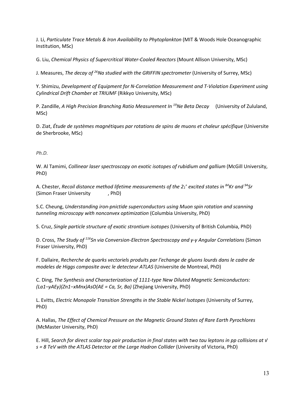J. Li, *Particulate Trace Metals & Iron Availability to Phytoplankton* (MIT & Woods Hole Oceanographic Institution, MSc)

G. Liu, *Chemical Physics of Supercritical Water-Cooled Reactors* (Mount Allison University, MSc)

J. Measures, *The decay of 26Na studied with the GRIFFIN spectrometer* (University of Surrey, MSc)

Y. Shimizu, *Development of Equipment for N-Correlation Measurement and T-Violation Experiment using Cylindrical Drift Chamber at TRIUMF* (Rikkyo University, MSc)

P. Zandille, *A High Precision Branching Ratio Measurement In 19Ne Beta Decay* (University of Zululand, MSc)

D. Ziat, *Étude de systèmes magnétiques par rotations de spins de muons et chaleur spécifique* (Universite de Sherbrooke, MSc)

#### *Ph.D.*

W. Al Tamimi, *Collinear laser spectroscopy on exotic isotopes of rubidium and gallium* (McGill University, PhD)

A. Chester, *Recoil distance method lifetime measurements of the 21 <sup>+</sup> excited states in 84Kr and 94Sr* (Simon Fraser University , PhD)

S.C. Cheung, *Understanding iron-pnictide superconductors using Muon spin rotation and scanning tunneling microscopy with nonconvex optimization* (Columbia University, PhD)

S. Cruz, *Single particle structure of exotic strontium isotopes* (University of British Columbia, PhD)

D. Cross, *The Study of 116Sn via Conversion-Electron Spectroscopy and γ-γ Angular Correlations* (Simon Fraser University, PhD)

F. Dallaire, *Recherche de quarks vectoriels produits par l'echange de gluons lourds dans le cadre de modeles de Higgs composite avec le detecteur ATLAS* (Universite de Montreal, PhD)

C. Ding, *The Synthesis and Characterization of 1111-type New Diluted Magnetic Semiconductors: (La1−yAEy)(Zn1−xMnx)AsO(AE = Ca, Sr, Ba)* (Zhejiang University, PhD)

L. Evitts, *Electric Monopole Transition Strengths in the Stable Nickel Isotopes* (University of Surrey, PhD)

A. Hallas, *The Effect of Chemical Pressure on the Magnetic Ground States of Rare Earth Pyrochlores* (McMaster University, PhD)

E. Hill, *Search for direct scalar top pair production in final states with two tau leptons in pp collisions at √ s = 8 TeV with the ATLAS Detector at the Large Hadron Collider* (University of Victoria, PhD)